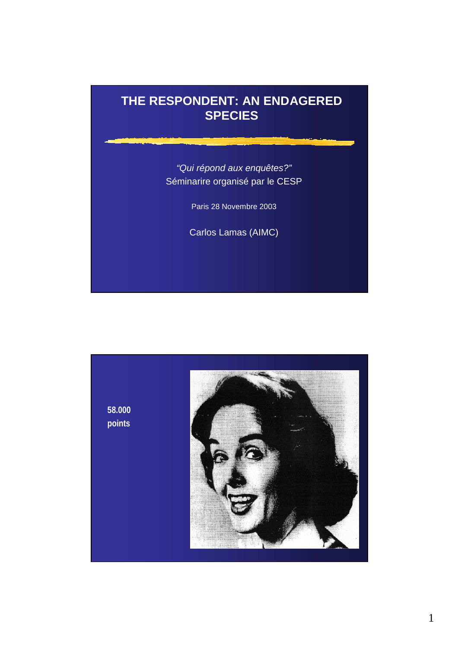# **THE RESPONDENT: AN ENDAGERED SPECIES**

*"Qui répond aux enquêtes?"* Séminarire organisé par le CESP

Paris 28 Novembre 2003

Carlos Lamas (AIMC)

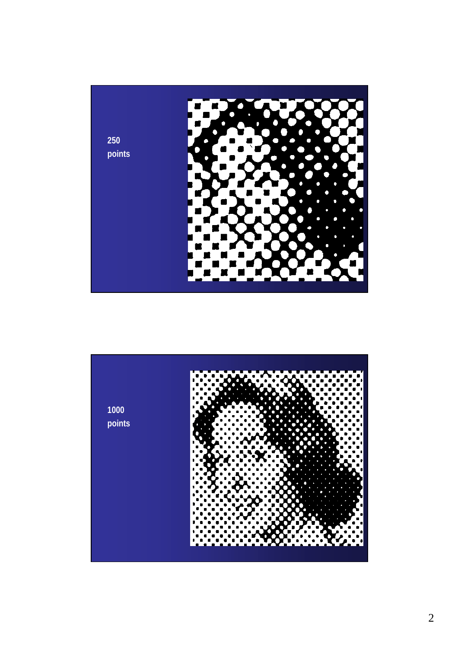

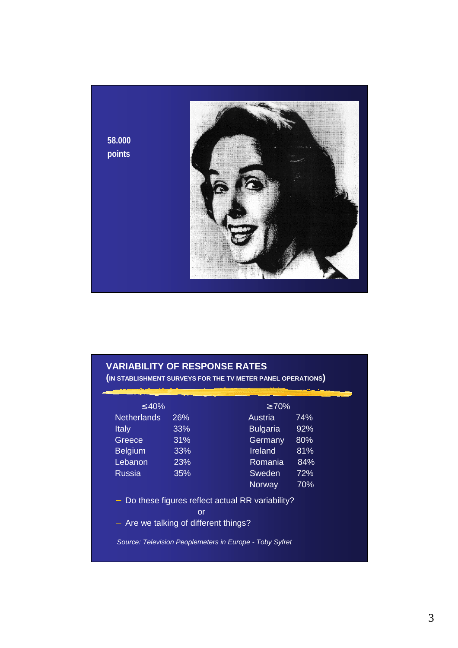

# **VARIABILITY OF RESPONSE RATES**

**(IN STABLISHMENT SURVEYS FOR THE TV METER PANEL OPERATIONS)**

| $\geq 70\%$                                     |                                       |
|-------------------------------------------------|---------------------------------------|
|                                                 |                                       |
| Austria                                         | 74%                                   |
| <b>Bulgaria</b>                                 | 92%                                   |
| Germany                                         | 80%                                   |
| <b>Ireland</b>                                  | 81%                                   |
| Romania                                         | 84%                                   |
| Sweden                                          | 72%                                   |
| Norway                                          | 70%                                   |
| Do these figures reflect actual RR variability? |                                       |
|                                                 | - Are we talking of different things? |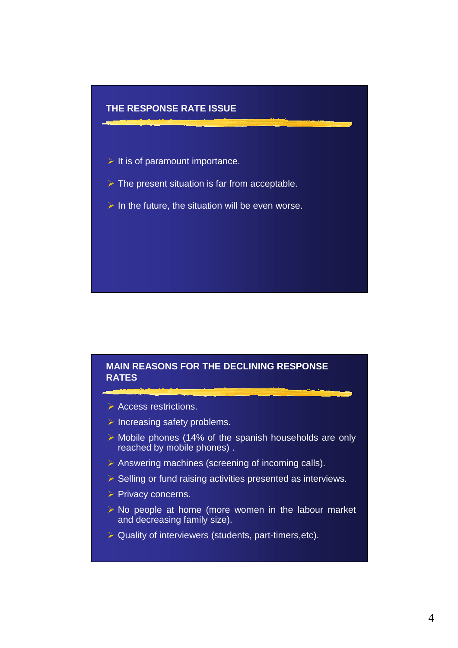

## **MAIN REASONS FOR THE DECLINING RESPONSE RATES**

- $\triangleright$  Access restrictions.
- $\triangleright$  Increasing safety problems.
- $\triangleright$  Mobile phones (14% of the spanish households are only reached by mobile phones) .
- $\triangleright$  Answering machines (screening of incoming calls).
- $\triangleright$  Selling or fund raising activities presented as interviews.
- $\triangleright$  Privacy concerns.
- $\triangleright$  No people at home (more women in the labour market and decreasing family size).
- $\triangleright$  Quality of interviewers (students, part-timers, etc).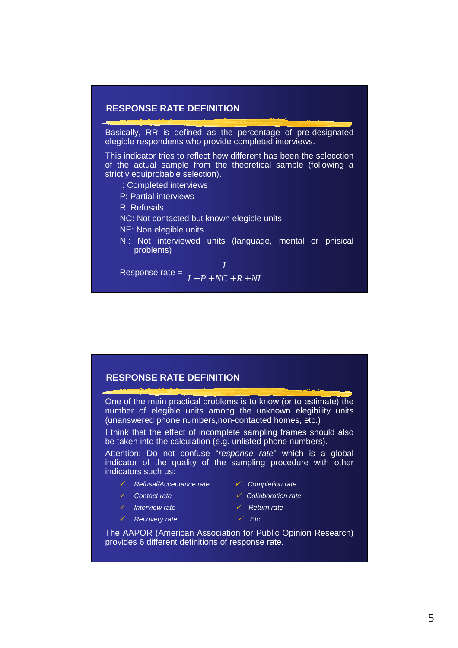# **RESPONSE RATE DEFINITION**

Basically, RR is defined as the percentage of pre-designated elegible respondents who provide completed interviews.

This indicator tries to reflect how different has been the selecction of the actual sample from the theoretical sample (following a strictly equiprobable selection).

- I: Completed interviews
- P: Partial interviews

R: Refusals

NC: Not contacted but known elegible units

NE: Non elegible units

NI: Not interviewed units (language, mental or phisical problems)

Response rate =  $\frac{}{I+P+NC+R+NI}$ *I*  $+ P + NC + R +$ 

#### **RESPONSE RATE DEFINITION**

One of the main practical problems is to know (or to estimate) the number of elegible units among the unknown elegibility units (unanswered phone numbers,non-contacted homes, etc.)

I think that the effect of incomplete sampling frames should also be taken into the calculation (e.g. unlisted phone numbers).

Attention: Do not confuse "*response rate*" which is a global indicator of the quality of the sampling procedure with other indicators such us:

- *Refusal/Acceptance rate Completion rate*
- 
- *Interview rate Return rate*
- *Recovery rate Etc*
- 
- *Contact rate Collaboration rate*
	-
	-

The AAPOR (American Association for Public Opinion Research) provides 6 different definitions of response rate.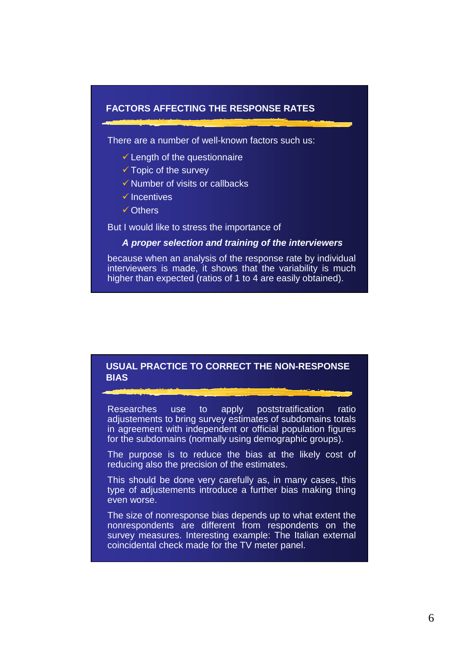#### **FACTORS AFFECTING THE RESPONSE RATES**

There are a number of well-known factors such us:

- -Length of the questionnaire
- -Topic of the survey
- -Number of visits or callbacks
- $\checkmark$  Incentives
- -Others

But I would like to stress the importance of

#### *A proper selection and training of the interviewers*

because when an analysis of the response rate by individual interviewers is made, it shows that the variability is much higher than expected (ratios of 1 to 4 are easily obtained).

#### **USUAL PRACTICE TO CORRECT THE NON-RESPONSE BIAS**

Researches use to apply poststratification ratio adjustements to bring survey estimates of subdomains totals in agreement with independent or official population figures for the subdomains (normally using demographic groups).

The purpose is to reduce the bias at the likely cost of reducing also the precision of the estimates.

This should be done very carefully as, in many cases, this type of adjustements introduce a further bias making thing even worse.

The size of nonresponse bias depends up to what extent the nonrespondents are different from respondents on the survey measures. Interesting example: The Italian external coincidental check made for the TV meter panel.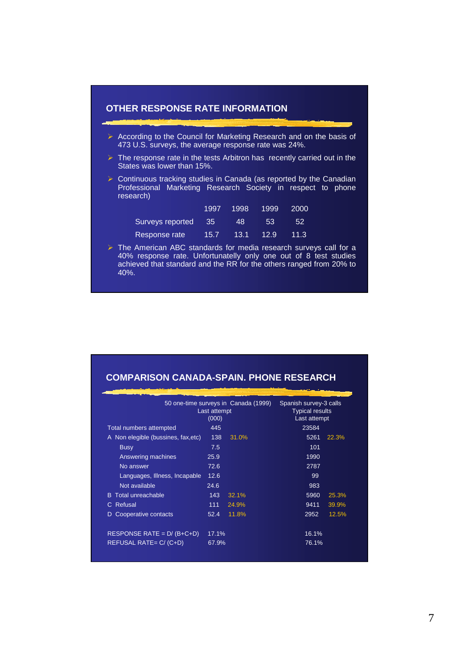

<sup>40%.</sup>

# **COMPARISON CANADA-SPAIN. PHONE RESEARCH**

|                                     | 50 one-time surveys in Canada (1999)<br>Last attempt<br>(000) |       | Spanish survey-3 calls<br><b>Typical results</b><br>Last attempt |       |
|-------------------------------------|---------------------------------------------------------------|-------|------------------------------------------------------------------|-------|
| Total numbers attempted             | 445                                                           |       | 23584                                                            |       |
| A Non elegible (bussines, fax, etc) | 138                                                           | 31.0% | 5261                                                             | 22.3% |
| <b>Busy</b>                         | 7.5                                                           |       | 101                                                              |       |
| Answering machines                  | 25.9                                                          |       | 1990                                                             |       |
| No answer                           | 72.6                                                          |       | 2787                                                             |       |
| Languages, Illness, Incapable       | 12.6                                                          |       | 99                                                               |       |
| Not available                       | 24.6                                                          |       | 983                                                              |       |
| <b>B</b> Total unreachable          | 143                                                           | 32.1% | 5960                                                             | 25.3% |
| Refusal<br>C.                       | 111                                                           | 24.9% | 9411                                                             | 39.9% |
| Cooperative contacts<br>D           | 52.4                                                          | 11.8% | 2952                                                             | 12.5% |
| RESPONSE RATE = $D/(B+C+D)$         | 17.1%                                                         |       | 16.1%                                                            |       |
| REFUSAL RATE= C/ (C+D)              | 67.9%                                                         |       | 76.1%                                                            |       |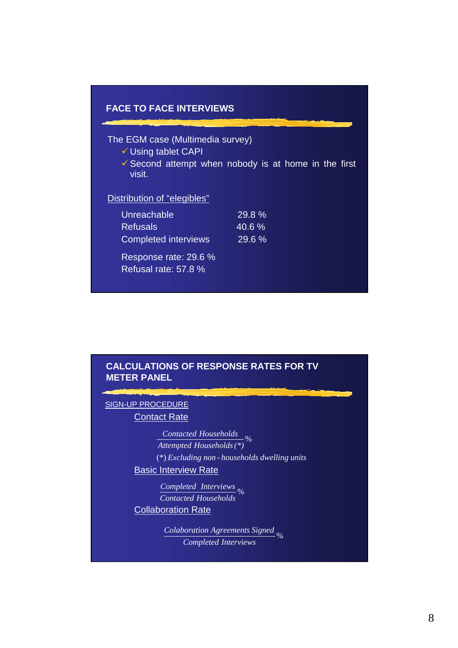

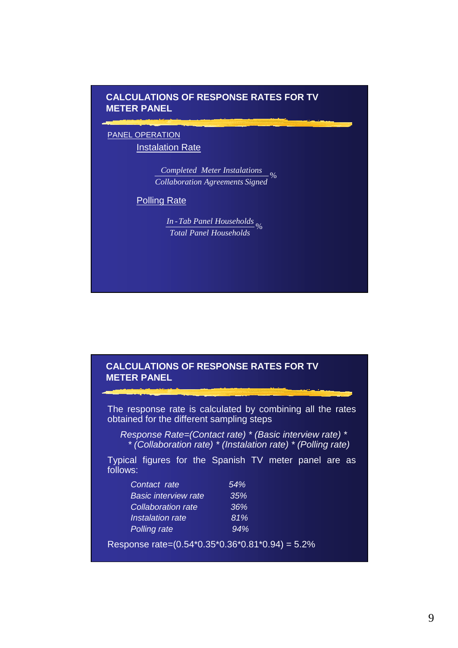# **CALCULATIONS OF RESPONSE RATES FOR TV METER PANEL**

#### PANEL OPERATION **Instalation Rate**

 *Collaboration Agreements Signed Completed Meter Instalations* %

#### Polling Rate

% *Total Panel Households In -Tab Panel Households*

#### **CALCULATIONS OF RESPONSE RATES FOR TV METER PANEL**

The response rate is calculated by combining all the rates obtained for the different sampling steps

*Response Rate=(Contact rate) \* (Basic interview rate) \* \* (Collaboration rate) \* (Instalation rate) \* (Polling rate)*

Typical figures for the Spanish TV meter panel are as follows:

| Contact rate                | 54% |
|-----------------------------|-----|
| <b>Basic interview rate</b> | 35% |
| <b>Collaboration rate</b>   | 36% |
| Instalation rate            | 81% |
| <b>Polling rate</b>         | 94% |

Response rate=(0.54\*0.35\*0.36\*0.81\*0.94) = 5.2%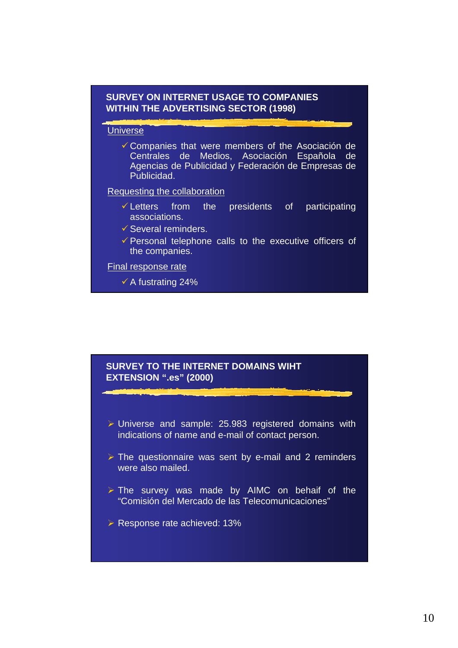

## **SURVEY TO THE INTERNET DOMAINS WIHT EXTENSION ".es" (2000)**

- > Universe and sample: 25.983 registered domains with indications of name and e-mail of contact person.
- $\triangleright$  The questionnaire was sent by e-mail and 2 reminders were also mailed.
- > The survey was made by AIMC on behaif of the "Comisión del Mercado de las Telecomunicaciones"
- > Response rate achieved: 13%